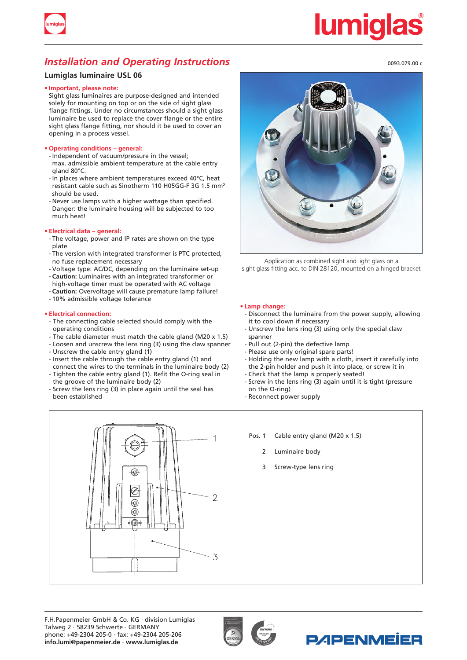

# *Installation and Operating Instructions*

# **Lumiglas luminaire USL 06**

### **• Important, please note:**

Sight glass luminaires are purpose-designed and intended solely for mounting on top or on the side of sight glass flange fittings. Under no circumstances should a sight glass luminaire be used to replace the cover flange or the entire sight glass flange fitting, nor should it be used to cover an opening in a process vessel.

### **• Operating conditions – general:**

- Independent of vacuum/pressure in the vessel; max. admissible ambient temperature at the cable entry gland 80°C.
- In places where ambient temperatures exceed 40°C, heat resistant cable such as Sinotherm 110 H05GG-F 3G 1.5 mm² should be used.
- Never use lamps with a higher wattage than specified. Danger: the luminaire housing will be subjected to too much heat!

### **• Electrical data – general:**

- The voltage, power and IP rates are shown on the type plate
- The version with integrated transformer is PTC protected, no fuse replacement necessary
- Voltage type: AC/DC, depending on the luminaire set-up **- Caution:** Luminaires with an integrated transformer or
- high-voltage timer must be operated with AC voltage
- Caution: Overvoltage will cause premature lamp failure!
- 10% admissible voltage tolerance

### **• Electrical connection:**

- The connecting cable selected should comply with the operating conditions
- The cable diameter must match the cable gland (M20 x 1.5)
- Loosen and unscrew the lens ring (3) using the claw spanner
- Unscrew the cable entry gland (1)
- Insert the cable through the cable entry gland (1) and connect the wires to the terminals in the luminaire body (2)
- Tighten the cable entry gland (1). Refit the O-ring seal in the groove of the luminaire body (2)
- Screw the lens ring (3) in place again until the seal has been established



Application as combined sight and light glass on a sight glass fitting acc. to DIN 28120, mounted on a hinged bracket

### **• Lamp change:**

- Disconnect the luminaire from the power supply, allowing it to cool down if necessary
- Unscrew the lens ring (3) using only the special claw spanner
- Pull out (2-pin) the defective lamp
- Please use only original spare parts!
- Holding the new lamp with a cloth, insert it carefully into the 2-pin holder and push it into place, or screw it in
- Check that the lamp is properly seated!
- Screw in the lens ring (3) again until it is tight (pressure on the O-ring)
- Reconnect power supply
- Pos. 1 Cable entry gland (M20 x 1.5)
	- 2 Luminaire body
	- 3 Screw-type lens ring







0093.079.00 c